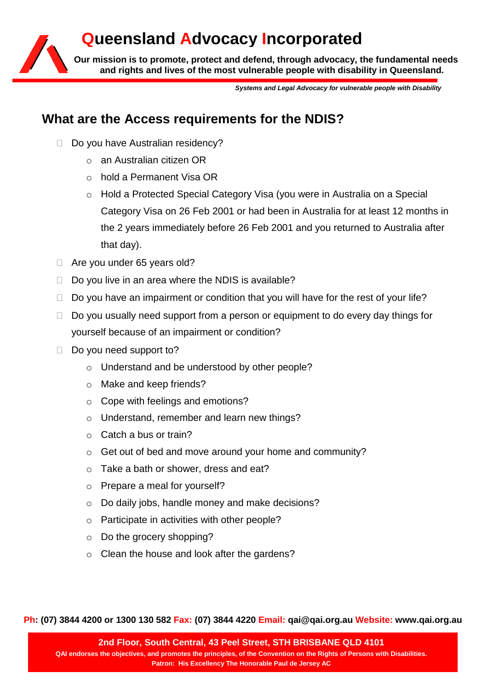# **Queensland Advocacy Incorporated**

**Our mission is to promote, protect and defend, through advocacy, the fundamental needs and rights and lives of the most vulnerable people with disability in Queensland.**

*Systems and Legal Advocacy for vulnerable people with Disability*

# **What are the Access requirements for the NDIS?**

- Do you have Australian residency?
	- o an Australian citizen OR
	- o hold a Permanent Visa OR
	- o Hold a Protected Special Category Visa (you were in Australia on a Special Category Visa on 26 Feb 2001 or had been in Australia for at least 12 months in the 2 years immediately before 26 Feb 2001 and you returned to Australia after that day).
- □ Are you under 65 years old?
- $\Box$  Do you live in an area where the NDIS is available?
- $\Box$  Do you have an impairment or condition that you will have for the rest of your life?
- $\Box$  Do you usually need support from a person or equipment to do every day things for yourself because of an impairment or condition?
- $\Box$  Do you need support to?
	- o Understand and be understood by other people?
	- o Make and keep friends?
	- o Cope with feelings and emotions?
	- o Understand, remember and learn new things?
	- o Catch a bus or train?
	- o Get out of bed and move around your home and community?
	- o Take a bath or shower, dress and eat?
	- o Prepare a meal for yourself?
	- o Do daily jobs, handle money and make decisions?
	- o Participate in activities with other people?
	- o Do the grocery shopping?
	- o Clean the house and look after the gardens?

**Ph: (07) 3844 4200 or 1300 130 582 Fax: (07) 3844 4220 Email: qai@qai.org.au Website: www.qai.org.au**

**2nd Floor, South Central, 43 Peel Street, STH BRISBANE QLD 4101 QAI endorses the objectives, and promotes the principles, of the Convention on the Rights of Persons with Disabilities. Patron: His Excellency The Honorable Paul de Jersey AC**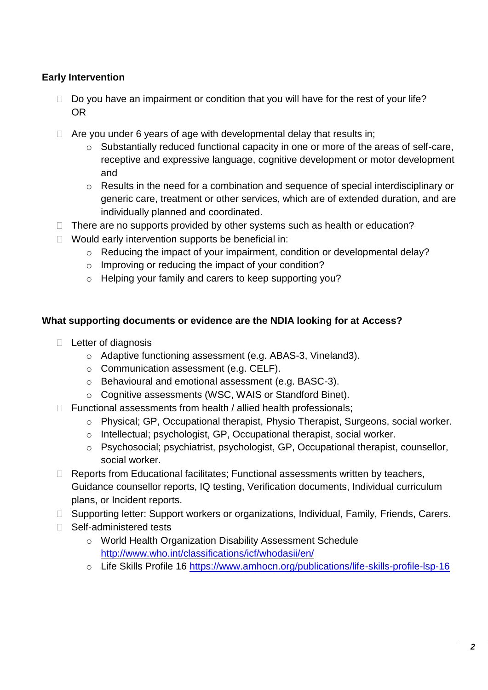### **Early Intervention**

- $\Box$  Do you have an impairment or condition that you will have for the rest of your life? OR
- $\Box$  Are you under 6 years of age with developmental delay that results in;
	- $\circ$  Substantially reduced functional capacity in one or more of the areas of self-care, receptive and expressive language, cognitive development or motor development and
	- o Results in the need for a combination and sequence of special interdisciplinary or generic care, treatment or other services, which are of extended duration, and are individually planned and coordinated.
- $\Box$  There are no supports provided by other systems such as health or education?
- $\Box$  Would early intervention supports be beneficial in:
	- o Reducing the impact of your impairment, condition or developmental delay?
	- o Improving or reducing the impact of your condition?
	- o Helping your family and carers to keep supporting you?

#### **What supporting documents or evidence are the NDIA looking for at Access?**

- $\Box$  Letter of diagnosis
	- o Adaptive functioning assessment (e.g. ABAS-3, Vineland3).
	- o Communication assessment (e.g. CELF).
	- o Behavioural and emotional assessment (e.g. BASC-3).
	- o Cognitive assessments (WSC, WAIS or Standford Binet).
- $\Box$  Functional assessments from health / allied health professionals;
	- o Physical; GP, Occupational therapist, Physio Therapist, Surgeons, social worker.
	- o Intellectual; psychologist, GP, Occupational therapist, social worker.
	- o Psychosocial; psychiatrist, psychologist, GP, Occupational therapist, counsellor, social worker.
- $\Box$  Reports from Educational facilitates; Functional assessments written by teachers, Guidance counsellor reports, IQ testing, Verification documents, Individual curriculum plans, or Incident reports.
- □ Supporting letter: Support workers or organizations, Individual, Family, Friends, Carers.
- □ Self-administered tests
	- o World Health Organization Disability Assessment Schedule <http://www.who.int/classifications/icf/whodasii/en/>
	- o Life Skills Profile 16<https://www.amhocn.org/publications/life-skills-profile-lsp-16>